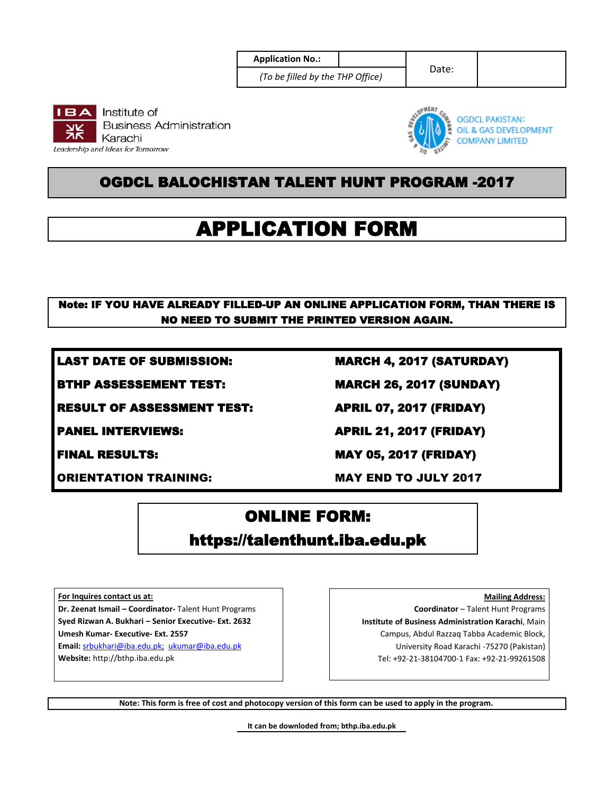**Application No.:** 

*(To be filled by the THP Office)*

Date:





**OGDCL PAKISTAN:** OIL & GAS DEVELOPMENT **COMPANY LIMITED** 

### OGDCL BALOCHISTAN TALENT HUNT PROGRAM -2017

# APPLICATION FORM

### Note: IF YOU HAVE ALREADY FILLED-UP AN ONLINE APPLICATION FORM, THAN THERE IS NO NEED TO SUBMIT THE PRINTED VERSION AGAIN.

LAST DATE OF SUBMISSION: MARCH 4, 2017 (SATURDAY)

RESULT OF ASSESSMENT TEST: APRIL 07, 2017 (FRIDAY)

ORIENTATION TRAINING: MAY END TO JULY 2017

BTHP ASSESSEMENT TEST: MARCH 26, 2017 (SUNDAY)

PANEL INTERVIEWS: APRIL 21, 2017 (FRIDAY)

FINAL RESULTS: MAY 05, 2017 (FRIDAY)

## ONLINE FORM: https://talenthunt.iba.edu.pk

**For Inquires contact us at:**

**Dr. Zeenat Ismail – Coordinator-** Talent Hunt Programs **Syed Rizwan A. Bukhari – Senior Executive- Ext. 2632 Umesh Kumar- Executive- Ext. 2557**

**Email:** srbukhari@iba.edu.pk; ukumar@iba.edu.pk **Website:** http://bthp.iba.edu.pk

**Mailing Address: Coordinator** – Talent Hunt Programs **Institute of Business Administration Karachi**, Main Campus, Abdul Razzaq Tabba Academic Block, University Road Karachi -75270 (Pakistan) Tel: +92-21-38104700-1 Fax: +92-21-99261508

**Note: This form is free of cost and photocopy version of this form can be used to apply in the program.** 

**It can be downloded from; bthp.iba.edu.pk**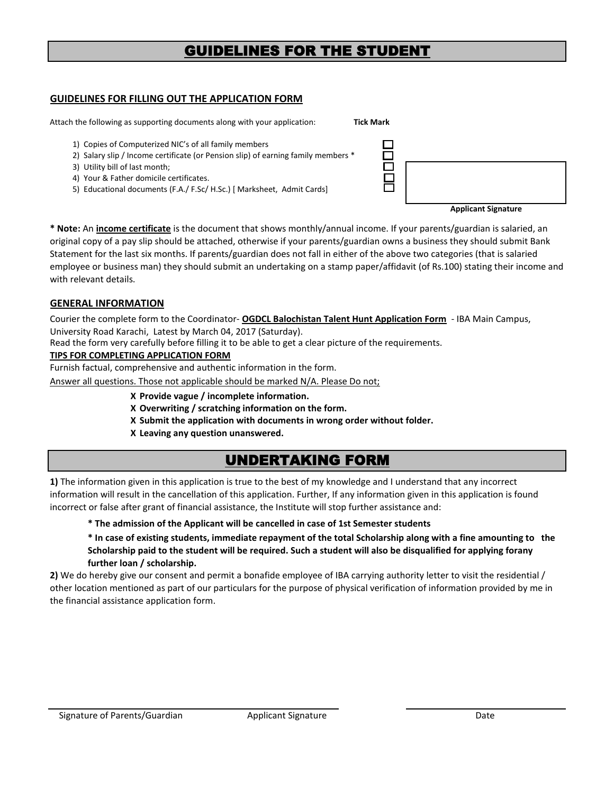### GUIDELINES FOR THE STUDENT

#### **GUIDELINES FOR FILLING OUT THE APPLICATION FORM**

Attach the following as supporting documents along with your application: **Tick Mark** 

- 1) Copies of Computerized NIC's of all family members
- 2) Salary slip / Income certificate (or Pension slip) of earning family members \*
- 3) Utility bill of last month;
- 4) Your & Father domicile certificates.
- 5) Educational documents (F.A./ F.Sc/ H.Sc.) [ Marksheet, Admit Cards]

| <b>Applicant Signature</b> |
|----------------------------|

**\* Note:** An **income certificate** is the document that shows monthly/annual income. If your parents/guardian is salaried, an original copy of a pay slip should be attached, otherwise if your parents/guardian owns a business they should submit Bank Statement for the last six months. If parents/guardian does not fall in either of the above two categories (that is salaried employee or business man) they should submit an undertaking on a stamp paper/affidavit (of Rs.100) stating their income and with relevant details.

#### **GENERAL INFORMATION**

Courier the complete form to the Coordinator- **OGDCL Balochistan Talent Hunt Application Form** - IBA Main Campus, University Road Karachi, Latest by March 04, 2017 (Saturday).

Read the form very carefully before filling it to be able to get a clear picture of the requirements.

#### **TIPS FOR COMPLETING APPLICATION FORM**

Furnish factual, comprehensive and authentic information in the form.

Answer all questions. Those not applicable should be marked N/A. Please Do not;

- **Х Provide vague / incomplete information.**
- **Х Overwriting / scratching information on the form.**
- **X Submit the application with documents in wrong order without folder.**
- **X Leaving any question unanswered.**

### UNDERTAKING FORM

**1)** The information given in this application is true to the best of my knowledge and I understand that any incorrect information will result in the cancellation of this application. Further, If any information given in this application is found incorrect or false after grant of financial assistance, the Institute will stop further assistance and:

#### **\* The admission of the Applicant will be cancelled in case of 1st Semester students**

**\* In case of existing students, immediate repayment of the total Scholarship along with a fine amounting to the Scholarship paid to the student will be required. Such a student will also be disqualified for applying forany further loan / scholarship.**

**2)** We do hereby give our consent and permit a bonafide employee of IBA carrying authority letter to visit the residential / other location mentioned as part of our particulars for the purpose of physical verification of information provided by me in the financial assistance application form.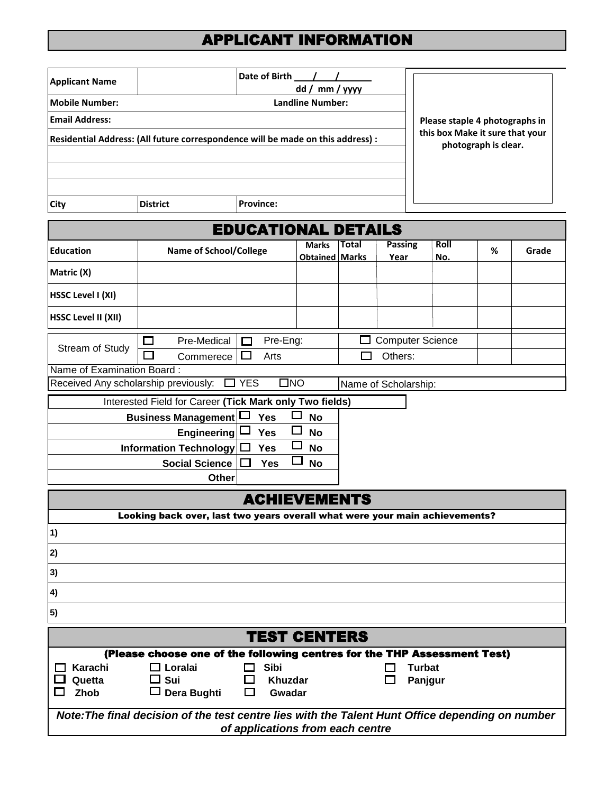## APPLICANT INFORMATION

| <b>Applicant Name</b>                                                                            | Date of Birth<br>dd / mm / yyyy                                                            |                            |                       |                      |                         |               |                                 |                      |       |
|--------------------------------------------------------------------------------------------------|--------------------------------------------------------------------------------------------|----------------------------|-----------------------|----------------------|-------------------------|---------------|---------------------------------|----------------------|-------|
| <b>Mobile Number:</b>                                                                            | <b>Landline Number:</b>                                                                    |                            |                       |                      |                         |               |                                 |                      |       |
| <b>Email Address:</b>                                                                            | Please staple 4 photographs in                                                             |                            |                       |                      |                         |               |                                 |                      |       |
|                                                                                                  | Residential Address: (All future correspondence will be made on this address) :            |                            |                       |                      |                         |               | this box Make it sure that your |                      |       |
|                                                                                                  |                                                                                            |                            |                       |                      |                         |               |                                 | photograph is clear. |       |
|                                                                                                  |                                                                                            |                            |                       |                      |                         |               |                                 |                      |       |
|                                                                                                  |                                                                                            |                            |                       |                      |                         |               |                                 |                      |       |
| City                                                                                             | <b>District</b>                                                                            | <b>Province:</b>           |                       |                      |                         |               |                                 |                      |       |
|                                                                                                  |                                                                                            | <b>EDUCATIONAL DETAILS</b> |                       |                      |                         |               |                                 |                      |       |
| <b>Education</b>                                                                                 | <b>Name of School/College</b>                                                              |                            | <b>Marks</b>          | Total                | <b>Passing</b>          |               | Roll                            | %                    | Grade |
| Matric (X)                                                                                       |                                                                                            |                            | <b>Obtained Marks</b> |                      | Year                    |               | No.                             |                      |       |
|                                                                                                  |                                                                                            |                            |                       |                      |                         |               |                                 |                      |       |
| <b>HSSC Level I (XI)</b>                                                                         |                                                                                            |                            |                       |                      |                         |               |                                 |                      |       |
| <b>HSSC Level II (XII)</b>                                                                       |                                                                                            |                            |                       |                      |                         |               |                                 |                      |       |
|                                                                                                  | Pre-Medical                                                                                | Pre-Eng:                   |                       |                      | <b>Computer Science</b> |               |                                 |                      |       |
| Stream of Study                                                                                  | Commerece                                                                                  | $\mathbf{L}$<br>Arts       |                       |                      | Others:                 |               |                                 |                      |       |
| Name of Examination Board:                                                                       |                                                                                            |                            |                       |                      |                         |               |                                 |                      |       |
|                                                                                                  | Received Any scholarship previously: $\Box$ YES                                            | $\square$ NO               |                       | Name of Scholarship: |                         |               |                                 |                      |       |
|                                                                                                  | Interested Field for Career (Tick Mark only Two fields)                                    |                            |                       |                      |                         |               |                                 |                      |       |
|                                                                                                  | <b>Business Management</b><br>Yes<br><b>No</b><br>Engineering L<br><b>Yes</b><br><b>No</b> |                            |                       |                      |                         |               |                                 |                      |       |
|                                                                                                  | Information Technology $\Box$                                                              | <b>Yes</b>                 | <b>No</b>             |                      |                         |               |                                 |                      |       |
|                                                                                                  | <b>Social Science</b><br><b>Yes</b><br><b>No</b>                                           |                            |                       |                      |                         |               |                                 |                      |       |
|                                                                                                  | Other                                                                                      |                            |                       |                      |                         |               |                                 |                      |       |
| <b>ACHIEVEMENTS</b>                                                                              |                                                                                            |                            |                       |                      |                         |               |                                 |                      |       |
|                                                                                                  | Looking back over, last two years overall what were your main achievements?                |                            |                       |                      |                         |               |                                 |                      |       |
| $\left( \mathbf{1}\right)$                                                                       |                                                                                            |                            |                       |                      |                         |               |                                 |                      |       |
| 2)                                                                                               |                                                                                            |                            |                       |                      |                         |               |                                 |                      |       |
| 3)                                                                                               |                                                                                            |                            |                       |                      |                         |               |                                 |                      |       |
| 4)                                                                                               |                                                                                            |                            |                       |                      |                         |               |                                 |                      |       |
| 5)                                                                                               |                                                                                            |                            |                       |                      |                         |               |                                 |                      |       |
|                                                                                                  |                                                                                            | TEST CENTERS               |                       |                      |                         |               |                                 |                      |       |
|                                                                                                  | (Please choose one of the following centres for the THP Assessment Test)                   |                            |                       |                      |                         |               |                                 |                      |       |
| Karachi<br>Quetta                                                                                | $\Box$ Loralai<br>$\square$ Sui                                                            | <b>Sibi</b><br>Khuzdar     |                       |                      |                         | <b>Turbat</b> |                                 |                      |       |
| Zhob                                                                                             | $\Box$ Dera Bughti                                                                         | Gwadar                     |                       |                      |                         | Panjgur       |                                 |                      |       |
| Note: The final decision of the test centre lies with the Talent Hunt Office depending on number |                                                                                            |                            |                       |                      |                         |               |                                 |                      |       |
| of applications from each centre                                                                 |                                                                                            |                            |                       |                      |                         |               |                                 |                      |       |